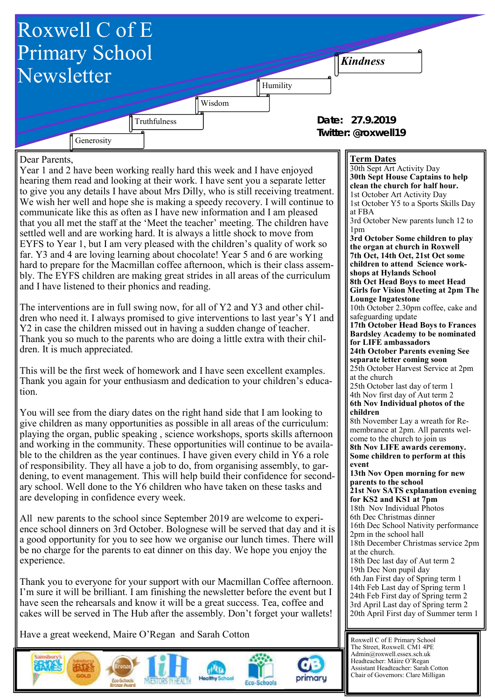

Have a great weekend, Maire O'Regan and Sarah Cotton





cakes will be served in The Hub after the assembly. Don't forget your wallets!





3rd April Last day of Spring term 2 20th April First day of Summer term 1

Roxwell C of E Primary School The Street, Roxwell. CM1 4PE Admin@roxwell.essex.sch.uk Headteacher: Máire O'Regan Assistant Headteacher: Sarah Cotton Chair of Governors: Clare Milligan